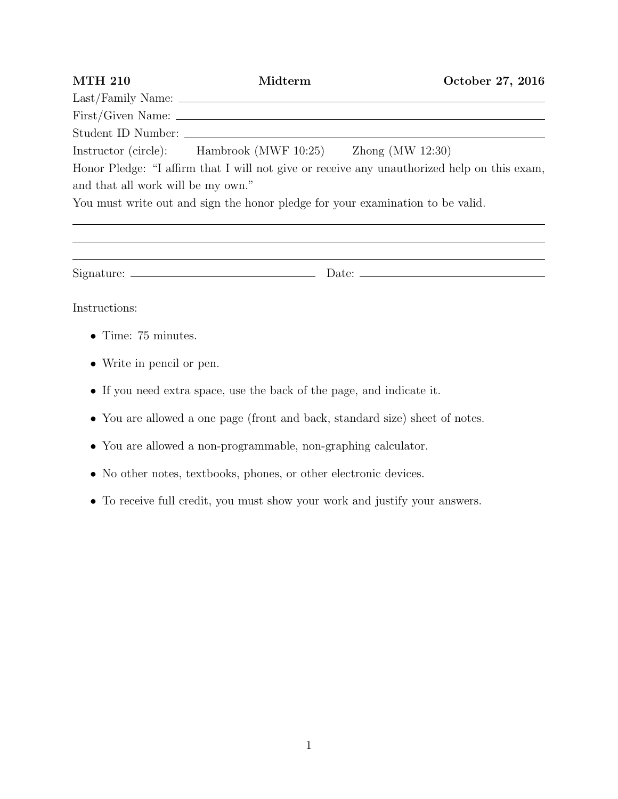| <b>MTH 210</b>                     | Midterm                                                                        | October 27, 2016                                                                            |
|------------------------------------|--------------------------------------------------------------------------------|---------------------------------------------------------------------------------------------|
|                                    |                                                                                |                                                                                             |
|                                    |                                                                                |                                                                                             |
|                                    |                                                                                |                                                                                             |
|                                    | Instructor (circle): Hambrook (MWF 10:25) Zhong (MW 12:30)                     |                                                                                             |
|                                    |                                                                                | Honor Pledge: "I affirm that I will not give or receive any unauthorized help on this exam, |
| and that all work will be my own." |                                                                                |                                                                                             |
|                                    | You must write out and sign the honor pledge for your examination to be valid. |                                                                                             |
|                                    |                                                                                |                                                                                             |
|                                    |                                                                                |                                                                                             |
| Instructions:                      |                                                                                |                                                                                             |

- *•* Time: 75 minutes.
- *•* Write in pencil or pen.
- *•* If you need extra space, use the back of the page, and indicate it.
- *•* You are allowed a one page (front and back, standard size) sheet of notes.
- *•* You are allowed a non-programmable, non-graphing calculator.
- No other notes, textbooks, phones, or other electronic devices.
- *•* To receive full credit, you must show your work and justify your answers.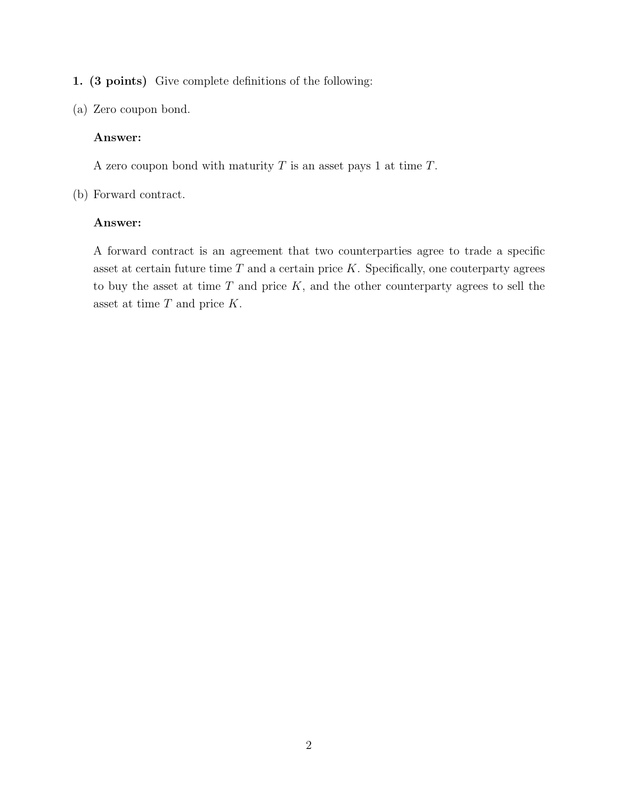1. (3 points) Give complete definitions of the following:

(a) Zero coupon bond.

# Answer:

A zero coupon bond with maturity *T* is an asset pays 1 at time *T*.

(b) Forward contract.

# Answer:

A forward contract is an agreement that two counterparties agree to trade a specific asset at certain future time *T* and a certain price *K*. Specifically, one couterparty agrees to buy the asset at time *T* and price *K*, and the other counterparty agrees to sell the asset at time *T* and price *K*.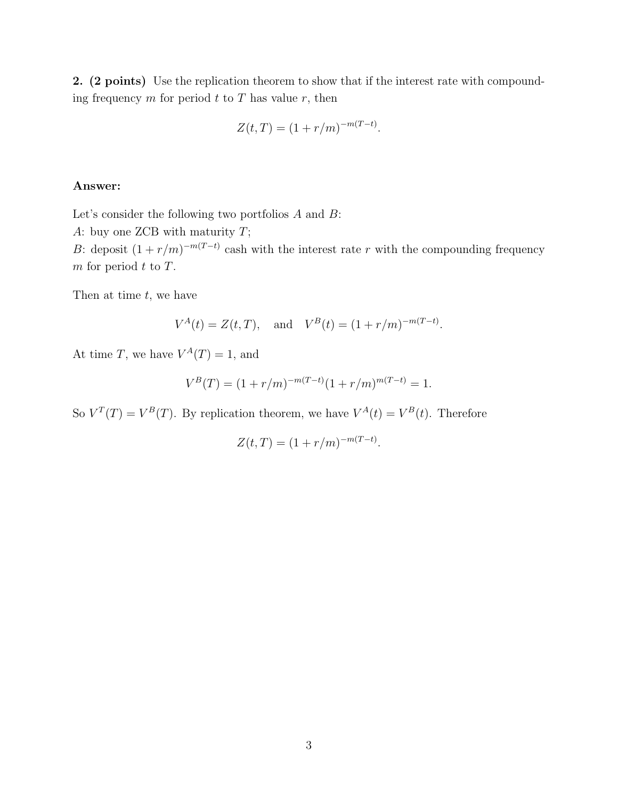2. (2 points) Use the replication theorem to show that if the interest rate with compounding frequency  $m$  for period  $t$  to  $T$  has value  $r$ , then

$$
Z(t,T) = (1 + r/m)^{-m(T-t)}.
$$

## Answer:

Let's consider the following two portfolios *A* and *B*:

*A*: buy one ZCB with maturity *T*;

*B*: deposit  $(1 + r/m)^{-m(T-t)}$  cash with the interest rate *r* with the compounding frequency *m* for period *t* to *T*.

Then at time *t*, we have

$$
V^{A}(t) = Z(t, T), \text{ and } V^{B}(t) = (1 + r/m)^{-m(T-t)}.
$$

At time *T*, we have  $V^A(T) = 1$ , and

$$
V^{B}(T) = (1 + r/m)^{-m(T-t)}(1 + r/m)^{m(T-t)} = 1.
$$

So  $V^T(T) = V^B(T)$ . By replication theorem, we have  $V^A(t) = V^B(t)$ . Therefore

$$
Z(t,T) = (1 + r/m)^{-m(T-t)}.
$$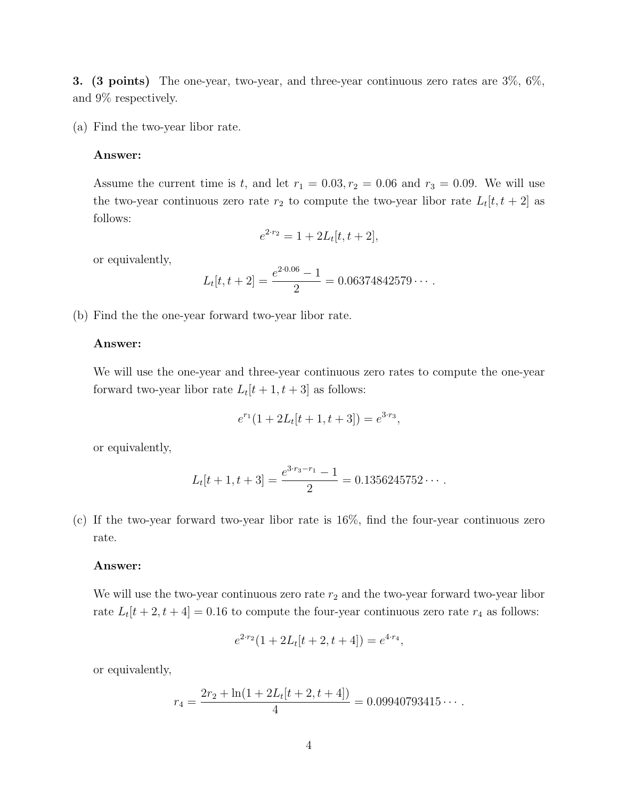**3.** (3 points) The one-year, two-year, and three-year continuous zero rates are  $3\%, 6\%,$ and 9% respectively.

(a) Find the two-year libor rate.

# Answer:

Assume the current time is *t*, and let  $r_1 = 0.03, r_2 = 0.06$  and  $r_3 = 0.09$ . We will use the two-year continuous zero rate  $r_2$  to compute the two-year libor rate  $L_t[t, t + 2]$  as follows:

$$
e^{2 \cdot r_2} = 1 + 2L_t[t, t+2],
$$

or equivalently,

$$
L_t[t, t+2] = \frac{e^{2 \cdot 0.06} - 1}{2} = 0.06374842579 \cdots.
$$

(b) Find the the one-year forward two-year libor rate.

## Answer:

We will use the one-year and three-year continuous zero rates to compute the one-year forward two-year libor rate  $L_t[t + 1, t + 3]$  as follows:

$$
e^{r_1}(1+2L_t[t+1,t+3]) = e^{3\cdot r_3},
$$

or equivalently,

$$
L_t[t+1, t+3] = \frac{e^{3 \cdot r_3 - r_1} - 1}{2} = 0.1356245752 \cdots.
$$

(c) If the two-year forward two-year libor rate is 16%, find the four-year continuous zero rate.

#### Answer:

We will use the two-year continuous zero rate  $r_2$  and the two-year forward two-year libor rate  $L_t[t + 2, t + 4] = 0.16$  to compute the four-year continuous zero rate  $r_4$  as follows:

$$
e^{2 \cdot r_2} (1 + 2L_t[t+2, t+4]) = e^{4 \cdot r_4},
$$

or equivalently,

$$
r_4 = \frac{2r_2 + \ln(1 + 2L_t[t + 2, t + 4])}{4} = 0.09940793415\cdots.
$$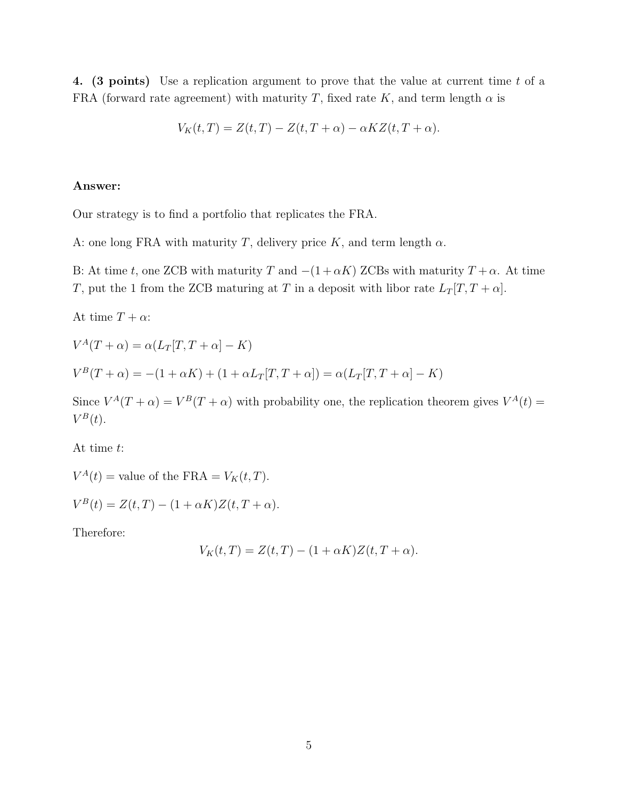4. (3 points) Use a replication argument to prove that the value at current time *t* of a FRA (forward rate agreement) with maturity *T*, fixed rate *K*, and term length  $\alpha$  is

$$
V_K(t,T) = Z(t,T) - Z(t,T+\alpha) - \alpha K Z(t,T+\alpha).
$$

## Answer:

Our strategy is to find a portfolio that replicates the FRA.

A: one long FRA with maturity *T*, delivery price *K*, and term length  $\alpha$ .

B: At time *t*, one ZCB with maturity *T* and  $-(1 + \alpha K)$  ZCBs with maturity  $T + \alpha$ . At time *T*, put the 1 from the ZCB maturing at *T* in a deposit with libor rate  $L_T[T, T + \alpha]$ .

At time  $T + \alpha$ :

$$
V^{A}(T+\alpha) = \alpha (L_{T}[T, T+\alpha] - K)
$$
  

$$
V^{B}(T+\alpha) = -(1+\alpha K) + (1+\alpha L_{T}[T, T+\alpha]) = \alpha (L_{T}[T, T+\alpha] - K)
$$

Since  $V^A(T + \alpha) = V^B(T + \alpha)$  with probability one, the replication theorem gives  $V^A(t) =$  $V^B(t)$ .

At time *t*:

 $V^A(t)$  = value of the FRA =  $V_K(t, T)$ .

 $V^{B}(t) = Z(t, T) - (1 + \alpha K)Z(t, T + \alpha).$ 

Therefore:

$$
V_K(t,T) = Z(t,T) - (1 + \alpha K)Z(t,T + \alpha).
$$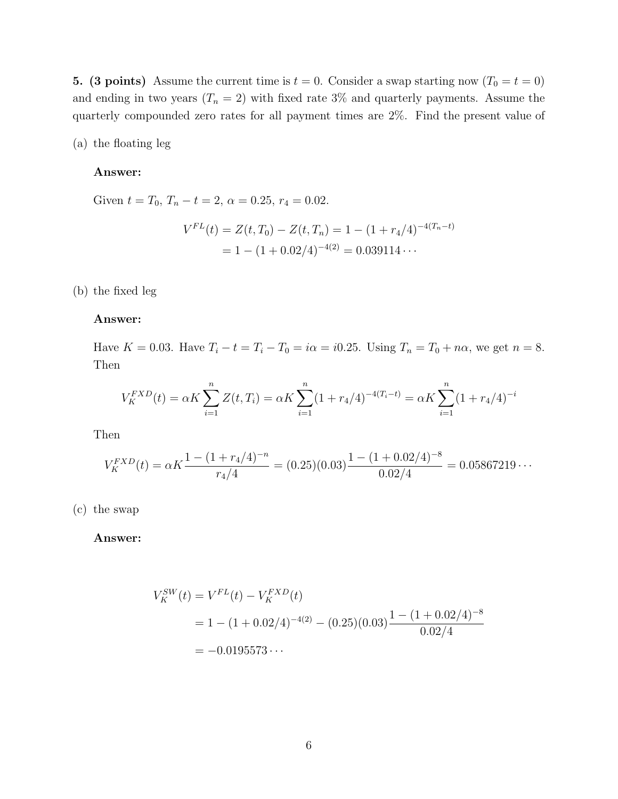5. (3 points) Assume the current time is  $t = 0$ . Consider a swap starting now  $(T_0 = t = 0)$ and ending in two years  $(T_n = 2)$  with fixed rate 3% and quarterly payments. Assume the quarterly compounded zero rates for all payment times are 2%. Find the present value of

(a) the floating leg

# Answer:

Given  $t = T_0$ ,  $T_n - t = 2$ ,  $\alpha = 0.25$ ,  $r_4 = 0.02$ .

$$
V^{FL}(t) = Z(t, T_0) - Z(t, T_n) = 1 - (1 + r_4/4)^{-4(T_n - t)}
$$
  
= 1 - (1 + 0.02/4)^{-4(2)} = 0.039114...

(b) the fixed leg

## Answer:

Have  $K = 0.03$ . Have  $T_i - t = T_i - T_0 = i\alpha = i0.25$ . Using  $T_n = T_0 + n\alpha$ , we get  $n = 8$ . Then

$$
V_K^{FXD}(t) = \alpha K \sum_{i=1}^n Z(t, T_i) = \alpha K \sum_{i=1}^n (1 + r_4/4)^{-4(T_i - t)} = \alpha K \sum_{i=1}^n (1 + r_4/4)^{-i}
$$

Then

$$
V_K^{FXD}(t) = \alpha K \frac{1 - (1 + r_4/4)^{-n}}{r_4/4} = (0.25)(0.03) \frac{1 - (1 + 0.02/4)^{-8}}{0.02/4} = 0.05867219...
$$

(c) the swap

Answer:

$$
V_K^{SW}(t) = V^{FL}(t) - V_K^{FXD}(t)
$$
  
= 1 - (1 + 0.02/4)<sup>-4(2)</sup> - (0.25)(0.03) $\frac{1 - (1 + 0.02/4)^{-8}}{0.02/4}$   
= -0.0195573...